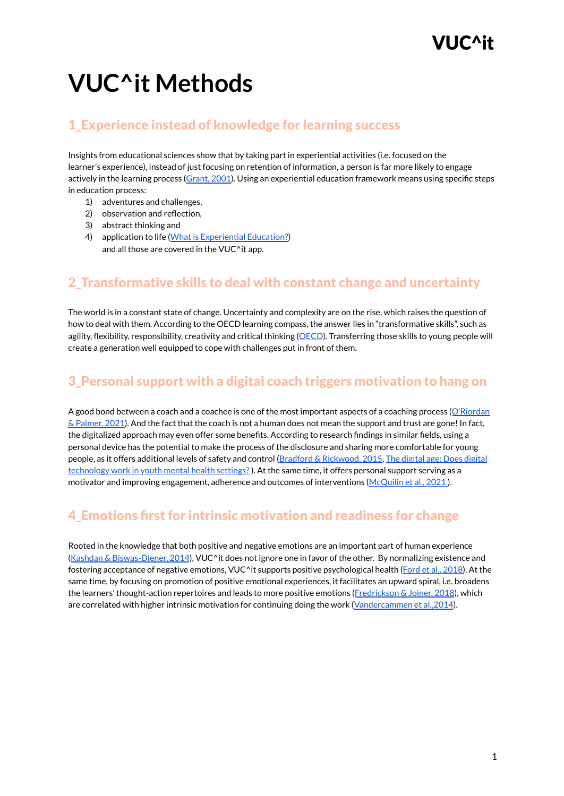# **VUC^it Methods**

#### 1\_Experience instead of knowledge for learning success

Insights from educational sciences show that by taking part in experiential activities (i.e. focused on the learner's experience), instead of just focusing on retention of information, a person is far more likely to engage actively in the learning process ([Grant,](https://motamem.org/wp-content/uploads/2021/05/Towards-a-psychology-of-coaching.pdf) 2001). Using an experiential education framework means using specific steps in education process:

- 1) adventures and challenges,
- 2) observation and reflection,
- 3) abstract thinking and
- 4) application to life (What is [Experiential](https://www.aee.org/what-is-experiential-education) Education?) and all those are covered in the VUC^it app.

#### 2\_Transformative skills to deal with constant change and uncertainty

The world is in a constant state of change. Uncertainty and complexity are on the rise, which raises the question of how to deal with them. According to the OECD learning compass, the answer lies in "transformative skills", such as agility, flexibility, responsibility, creativity and critical thinking [\(OECD](https://www.oecd.org/education/2030-project/teaching-and-learning/learning/transformative-competencies/Transformative_Competencies_for_2030_concept_note.pdf)). Transferring those skills to young people will create a generation well equipped to cope with challenges put in front of them.

#### 3\_Personal support with a digital coach triggers motivation to hang on

A good bond between a coach and a coachee is one of the most important aspects of a coaching process ([O'Riordan](https://www.routledge.com/Introduction-to-Coaching-Psychology/ORiordan-Palmer/p/book/9780415789080) & [Palmer,](https://www.routledge.com/Introduction-to-Coaching-Psychology/ORiordan-Palmer/p/book/9780415789080) 2021). And the fact that the coach is not a human does not mean the support and trust are gone! In fact, the digitalized approach may even offer some benefits. According to research findings in similar fields, using a personal device has the potential to make the process of the disclosure and sharing more comfortable for young people, as it offers additional levels of safety and control (Bradford & [Rickwood,](https://link.springer.com/article/10.1007/s10826-014-9929-0) 2015, The digital age: Does [digital](https://www.orygen.org.au/Training/Resources/digital-technology/Clinical-practice-points/The-digital-age-Does-digital-technology-work-in-y/orygen-the-digital-age-and-YMH-CPP-2019?ext=) [technology](https://www.orygen.org.au/Training/Resources/digital-technology/Clinical-practice-points/The-digital-age-Does-digital-technology-work-in-y/orygen-the-digital-age-and-YMH-CPP-2019?ext=) work in youth mental health settings?). At the same time, it offers personal support serving as a motivator and improving engagement, adherence and outcomes of interventions ([McQuilin](https://www.rhodeslab.org/wp-content/uploads/2021/06/McQuillin-et-al.-2021.pdf) et al., 2021 ).

#### 4\_Emotions first for intrinsic motivation and readiness for change

Rooted in the knowledge that both positive and negative emotions are an important part of human experience (Kashdan & [Biswas-Diener,](https://www.harvard.com/book/the_upside_of_your_dark_side_why_being_your_whole_self--not_just_your_good/) 2014), VUC^it does not ignore one in favor of the other. By normalizing existence and fostering acceptance of negative emotions, VUC^it supports positive psychological health (Ford et al., [2018](https://doi.org/10.1037/pspp0000157)). At the same time, by focusing on promotion of positive emotional experiences, it facilitates an upward spiral, i.e. broadens the learners' thought-action repertoires and leads to more positive emotions ([Fredrickson](https://doi.org/10.1177/1745691617692106) & Joiner, 2018), which are correlated with higher intrinsic motivation for continuing doing the work [\(Vandercammen](https://doi.org/10.1371/journal.pone.0115396) et al., 2014).